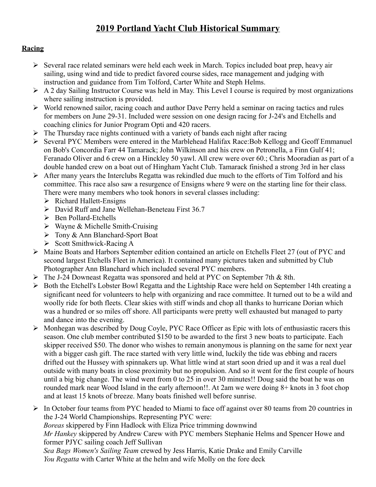# **2019 Portland Yacht Club Historical Summary**

# **Racing**

- $\triangleright$  Several race related seminars were held each week in March. Topics included boat prep, heavy air sailing, using wind and tide to predict favored course sides, race management and judging with instruction and guidance from Tim Tolford, Carter White and Steph Helms.
- $\triangleright$  A 2 day Sailing Instructor Course was held in May. This Level I course is required by most organizations where sailing instruction is provided.
- $\triangleright$  World renowned sailor, racing coach and author Dave Perry held a seminar on racing tactics and rules for members on June 29-31. Included were session on one design racing for J-24's and Etchells and coaching clinics for Junior Program Opti and 420 racers.
- $\triangleright$  The Thursday race nights continued with a variety of bands each night after racing
- Several PYC Members were entered in the Marblehead Halifax Race:Bob Kellogg and Geoff Emmanuel on Bob's Concordia Farr 44 Tamarack; John Wilkinson and his crew on Petronella, a Finn Gulf 41; Feranado Oliver and 6 crew on a Hinckley 50 yawl. All crew were over 60.; Chris Mooradian as part of a double handed crew on a boat out of Hingham Yacht Club. Tamarack finished a strong 3rd in her class
- $\triangleright$  After many years the Interclubs Regatta was rekindled due much to the efforts of Tim Tolford and his committee. This race also saw a resurgence of Ensigns where 9 were on the starting line for their class. There were many members who took honors in several classes including:
	- $\triangleright$  Richard Hallett-Ensigns
	- David Ruff and Jane Wellehan-Beneteau First 36.7
	- $\triangleright$  Ben Pollard-Etchells
	- $\triangleright$  Wayne & Michelle Smith-Cruising
	- Tony & Ann Blanchard-Sport Boat
	- $\triangleright$  Scott Smithwick-Racing A
- Maine Boats and Harbors September edition contained an article on Etchells Fleet 27 (out of PYC and second largest Etchells Fleet in America). It contained many pictures taken and submitted by Club Photographer Ann Blanchard which included several PYC members.
- The J-24 Downeast Regatta was sponsored and held at PYC on September 7th & 8th.
- Both the Etchell's Lobster Bowl Regatta and the Lightship Race were held on September 14th creating a significant need for volunteers to help with organizing and race committee. It turned out to be a wild and woolly ride for both fleets. Clear skies with stiff winds and chop all thanks to hurricane Dorian which was a hundred or so miles off shore. All participants were pretty well exhausted but managed to party and dance into the evening.
- $\triangleright$  Monhegan was described by Doug Coyle, PYC Race Officer as Epic with lots of enthusiastic racers this season. One club member contributed \$150 to be awarded to the first 3 new boats to participate. Each skipper received \$50. The donor who wishes to remain anonymous is planning on the same for next year with a bigger cash gift. The race started with very little wind, luckily the tide was ebbing and racers drifted out the Hussey with spinnakers up. What little wind at start soon dried up and it was a real duel outside with many boats in close proximity but no propulsion. And so it went for the first couple of hours until a big big change. The wind went from 0 to 25 in over 30 minutes!! Doug said the boat he was on rounded mark near Wood Island in the early afternoon!!. At 2am we were doing 8+ knots in 3 foot chop and at least 15 knots of breeze. Many boats finished well before sunrise.
- $\triangleright$  In October four teams from PYC headed to Miami to face off against over 80 teams from 20 countries in the J-24 World Championships. Representing PYC were: *Boreas* skippered by Finn Hadlock with Eliza Price trimming downwind *Mr Hankey* skippered by Andrew Carew with PYC members Stephanie Helms and Spencer Howe and former PJYC sailing coach Jeff Sullivan *Sea Bags Women's Sailing Team* crewed by Jess Harris, Katie Drake and Emily Carville *You Regatta* with Carter White at the helm and wife Molly on the fore deck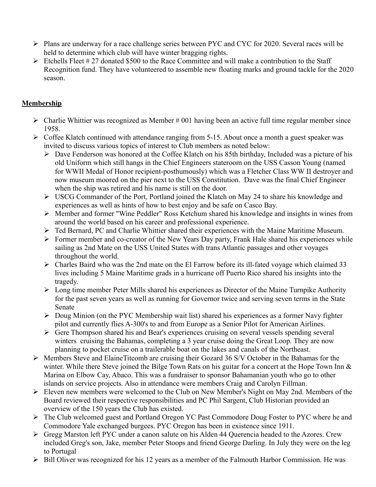- Plans are underway for a race challenge series between PYC and CYC for 2020. Several races will be held to determine which club will have winter bragging rights.
- $\triangleright$  Etchells Fleet # 27 donated \$500 to the Race Committee and will make a contribution to the Staff Recognition fund. They have volunteered to assemble new floating marks and ground tackle for the 2020 season.

# **Membership**

- $\triangleright$  Charlie Whittier was recognized as Member # 001 having been an active full time regular member since 1958.
- $\triangleright$  Coffee Klatch continued with attendance ranging from 5-15. About once a month a guest speaker was invited to discuss various topics of interest to Club members as noted below:
	- Dave Fenderson was honored at the Coffee Klatch on his 85th birthday, Included was a picture of his old Uniform which still hangs in the Chief Engineers stateroom on the USS Casson Young (named for WWII Medal of Honor recipient-posthumously) which was a Fletcher Class WW II destroyer and now museum moored on the pier next to the USS Constitution. Dave was the final Chief Engineer when the ship was retired and his name is still on the door.
	- USCG Commander of the Port, Portland joined the Klatch on May 24 to share his knowledge and experiences as well as hints of how to best enjoy and be safe on Casco Bay.
	- Member and former "Wine Peddler" Ross Ketchum shared his knowledge and insights in wines from around the world based on his career and professional experience.
	- Ted Bernard, PC and Charlie Whittier shared their experiences with the Maine Maritime Museum.
	- Former member and co-creator of the New Years Day party, Frank Hale shared his experiences while sailing as 2nd Mate on the USS United States with trans Atlantic passages and other voyages throughout the world.
	- $\triangleright$  Charles Baird who was the 2nd mate on the El Farrow before its ill-fated voyage which claimed 33 lives including 5 Maine Maritime grads in a hurricane off Puerto Rico shared his insights into the tragedy.
	- $\triangleright$  Long time member Peter Mills shared his experiences as Director of the Maine Turnpike Authority for the past seven years as well as running for Governor twice and serving seven terms in the State Senate
	- Doug Minion (on the PYC Membership wait list) shared his experiences as a former Navy fighter pilot and currently flies A-300's to and from Europe as a Senior Pilot for American Airlines.
	- Gere Thompson shared his and Bear's experiences cruising on several vessels spending several winters cruising the Bahamas, completing a 3 year cruise doing the Great Loop. They are now planning to pocket cruise on a trailerable boat on the lakes and canals of the Northeast.
- Members Steve and ElaineTitcomb are cruising their Gozard 36 S/V October in the Bahamas for the winter. While there Steve joined the Bilge Town Rats on his guitar for a concert at the Hope Town Inn & Marina on Elbow Cay, Abaco. This was a fundraiser to sponsor Bahamanian youth who go to other islands on service projects. Also in attendance were members Craig and Carolyn Fillman.
- Eleven new members were welcomed to the Club on New Member's Night on May 2nd. Members of the Board reviewed their respective responsibilities and PC Phil Sargent, Club Historian provided an overview of the 150 years the Club has existed.
- The Club welcomed guest and Portland Oregon YC Past Commodore Doug Foster to PYC where he and Commodore Yale exchanged burgees. PYC Oregon has been in existence since 1911.
- Gregg Marston left PYC under a canon salute on his Alden 44 Querencia headed to the Azores. Crew included Greg's son, Jake, member Peter Stoops and friend George Darling. In July they were on the leg to Portugal
- $\triangleright$  Bill Oliver was recognized for his 12 years as a member of the Falmouth Harbor Commission. He was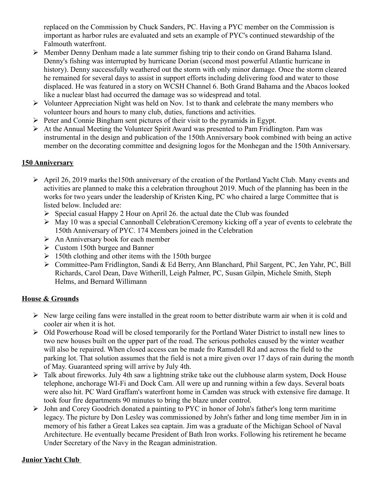replaced on the Commission by Chuck Sanders, PC. Having a PYC member on the Commission is important as harbor rules are evaluated and sets an example of PYC's continued stewardship of the Falmouth waterfront.

- Member Denny Denham made a late summer fishing trip to their condo on Grand Bahama Island. Denny's fishing was interrupted by hurricane Dorian (second most powerful Atlantic hurricane in history). Denny successfully weathered out the storm with only minor damage. Once the storm cleared he remained for several days to assist in support efforts including delivering food and water to those displaced. He was featured in a story on WCSH Channel 6. Both Grand Bahama and the Abacos looked like a nuclear blast had occurred the damage was so widespread and total.
- $\triangleright$  Volunteer Appreciation Night was held on Nov. 1st to thank and celebrate the many members who volunteer hours and hours to many club, duties, functions and activities.
- $\triangleright$  Peter and Connie Bingham sent pictures of their visit to the pyramids in Egypt.
- At the Annual Meeting the Volunteer Spirit Award was presented to Pam Fridlington. Pam was instrumental in the design and publication of the 150th Anniversary book combined with being an active member on the decorating committee and designing logos for the Monhegan and the 150th Anniversary.

## **150 Anniversary**

- April 26, 2019 marks the150th anniversary of the creation of the Portland Yacht Club. Many events and activities are planned to make this a celebration throughout 2019. Much of the planning has been in the works for two years under the leadership of Kristen King, PC who chaired a large Committee that is listed below. Included are:
	- $\triangleright$  Special casual Happy 2 Hour on April 26. the actual date the Club was founded
	- $\triangleright$  May 10 was a special Cannonball Celebration/Ceremony kicking off a year of events to celebrate the 150th Anniversary of PYC. 174 Members joined in the Celebration
	- $\triangleright$  An Anniversary book for each member
	- $\triangleright$  Custom 150th burgee and Banner
	- $\geq 150$ th clothing and other items with the 150th burgee
	- Committee-Pam Fridlington, Sandi & Ed Berry, Ann Blanchard, Phil Sargent, PC, Jen Yahr, PC, Bill Richards, Carol Dean, Dave Witherill, Leigh Palmer, PC, Susan Gilpin, Michele Smith, Steph Helms, and Bernard Willimann

# **House & Grounds**

- $\triangleright$  New large ceiling fans were installed in the great room to better distribute warm air when it is cold and cooler air when it is hot.
- Old Powerhouse Road will be closed temporarily for the Portland Water District to install new lines to two new houses built on the upper part of the road. The serious potholes caused by the winter weather will also be repaired. When closed access can be made fro Ramsdell Rd and across the field to the parking lot. That solution assumes that the field is not a mire given over 17 days of rain during the month of May. Guaranteed spring will arrive by July 4th.
- $\triangleright$  Talk about fireworks. July 4th saw a lightning strike take out the clubhouse alarm system, Dock House telephone, anchorage WI-Fi and Dock Cam. All were up and running within a few days. Several boats were also hit. PC Ward Graffam's waterfront home in Camden was struck with extensive fire damage. It took four fire departments 90 minutes to bring the blaze under control.
- $\triangleright$  John and Corey Goodrich donated a painting to PYC in honor of John's father's long term maritime legacy. The picture by Don Lesley was commissioned by John's father and long time member Jim in in memory of his father a Great Lakes sea captain. Jim was a graduate of the Michigan School of Naval Architecture. He eventually became President of Bath Iron works. Following his retirement he became Under Secretary of the Navy in the Reagan administration.

# **Junior Yacht Club**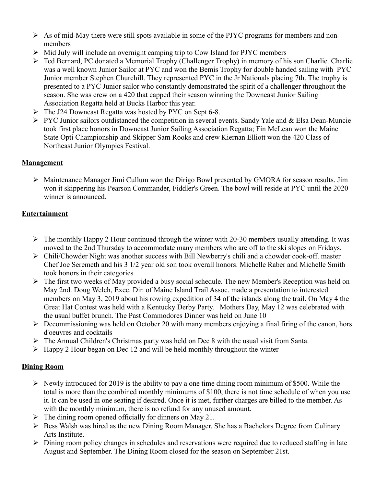- $\triangleright$  As of mid-May there were still spots available in some of the PJYC programs for members and nonmembers
- $\triangleright$  Mid July will include an overnight camping trip to Cow Island for PJYC members
- Ted Bernard, PC donated a Memorial Trophy (Challenger Trophy) in memory of his son Charlie. Charlie was a well known Junior Sailor at PYC and won the Bemis Trophy for double handed sailing with PYC Junior member Stephen Churchill. They represented PYC in the Jr Nationals placing 7th. The trophy is presented to a PYC Junior sailor who constantly demonstrated the spirit of a challenger throughout the season. She was crew on a 420 that capped their season winning the Downeast Junior Sailing Association Regatta held at Bucks Harbor this year.
- The J24 Downeast Regatta was hosted by PYC on Sept 6-8.
- $\triangleright$  PYC Junior sailors outdistanced the competition in several events. Sandy Yale and & Elsa Dean-Muncie took first place honors in Downeast Junior Sailing Association Regatta; Fin McLean won the Maine State Opti Championship and Skipper Sam Rooks and crew Kiernan Elliott won the 420 Class of Northeast Junior Olympics Festival.

## **Management**

 Maintenance Manager Jimi Cullum won the Dirigo Bowl presented by GMORA for season results. Jim won it skippering his Pearson Commander, Fiddler's Green. The bowl will reside at PYC until the 2020 winner is announced.

# **Entertainment**

- $\triangleright$  The monthly Happy 2 Hour continued through the winter with 20-30 members usually attending. It was moved to the 2nd Thursday to accommodate many members who are off to the ski slopes on Fridays.
- Chili/Chowder Night was another success with Bill Newberry's chili and a chowder cook-off. master Chef Joe Seremeth and his 3 1/2 year old son took overall honors. Michelle Raber and Michelle Smith took honors in their categories
- $\triangleright$  The first two weeks of May provided a busy social schedule. The new Member's Reception was held on May 2nd. Doug Welch, Exec. Dir. of Maine Island Trail Assoc. made a presentation to interested members on May 3, 2019 about his rowing expedition of 34 of the islands along the trail. On May 4 the Great Hat Contest was held with a Kentucky Derby Party. Mothers Day, May 12 was celebrated with the usual buffet brunch. The Past Commodores Dinner was held on June 10
- $\triangleright$  Decommissioning was held on October 20 with many members enjoying a final firing of the canon, hors d'oeuvres and cocktails
- $\triangleright$  The Annual Children's Christmas party was held on Dec 8 with the usual visit from Santa.
- $\triangleright$  Happy 2 Hour began on Dec 12 and will be held monthly throughout the winter

### **Dining Room**

- $\triangleright$  Newly introduced for 2019 is the ability to pay a one time dining room minimum of \$500. While the total is more than the combined monthly minimums of \$100, there is not time schedule of when you use it. It can be used in one seating if desired. Once it is met, further charges are billed to the member. As with the monthly minimum, there is no refund for any unused amount.
- $\triangleright$  The dining room opened officially for dinners on May 21.
- $\triangleright$  Bess Walsh was hired as the new Dining Room Manager. She has a Bachelors Degree from Culinary Arts Institute.
- $\triangleright$  Dining room policy changes in schedules and reservations were required due to reduced staffing in late August and September. The Dining Room closed for the season on September 21st.